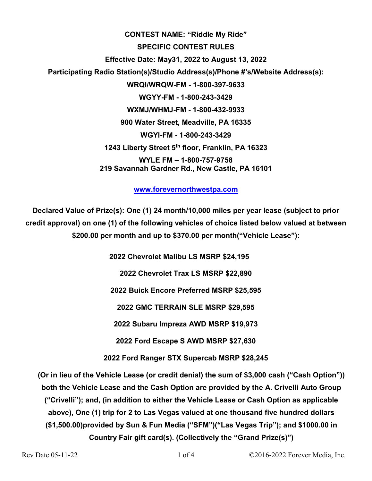**CONTEST NAME: "Riddle My Ride" SPECIFIC CONTEST RULES Effective Date: May31, 2022 to August 13, 2022 Participating Radio Station(s)/Studio Address(s)/Phone #'s/Website Address(s): WRQI/WRQW-FM - 1-800-397-9633 WGYY-FM - 1-800-243-3429 WXMJ/WHMJ-FM - 1-800-432-9933 900 Water Street, Meadville, PA 16335 WGYI-FM - 1-800-243-3429 1243 Liberty Street 5th floor, Franklin, PA 16323 WYLE FM – 1-800-757-9758 219 Savannah Gardner Rd., New Castle, PA 16101**

**[www.forevernorthwestpa.com](http://www.forevernorthwestpa.com/)**

**Declared Value of Prize(s): One (1) 24 month/10,000 miles per year lease (subject to prior credit approval) on one (1) of the following vehicles of choice listed below valued at between \$200.00 per month and up to \$370.00 per month("Vehicle Lease"):**

**2022 Chevrolet Malibu LS MSRP \$24,195** 

**2022 Chevrolet Trax LS MSRP \$22,890**

**2022 Buick Encore Preferred MSRP \$25,595**

**2022 GMC TERRAIN SLE MSRP \$29,595**

**2022 Subaru Impreza AWD MSRP \$19,973**

**2022 Ford Escape S AWD MSRP \$27,630**

**2022 Ford Ranger STX Supercab MSRP \$28,245**

**(Or in lieu of the Vehicle Lease (or credit denial) the sum of \$3,000 cash ("Cash Option")) both the Vehicle Lease and the Cash Option are provided by the A. Crivelli Auto Group ("Crivelli"); and, (in addition to either the Vehicle Lease or Cash Option as applicable above), One (1) trip for 2 to Las Vegas valued at one thousand five hundred dollars (\$1,500.00)provided by Sun & Fun Media ("SFM")("Las Vegas Trip"); and \$1000.00 in Country Fair gift card(s). (Collectively the "Grand Prize(s)")**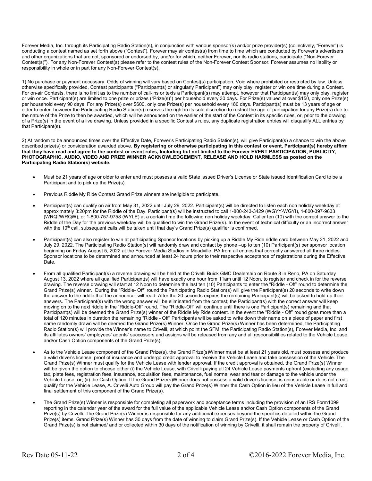Forever Media, Inc. through its Participating Radio Station(s), in conjunction with various sponsor(s) and/or prize provider(s) (collectively, "Forever") is conducting a contest named as set forth above ("Contest"). Forever may air contest(s) from time to time which are conducted by Forever's advertisers and other organizations that are not, sponsored or endorsed by, and/or for which, neither Forever, nor its radio stations, participate ("Non-Forever Contest(s)"). For any Non-Forever Contest(s) please refer to the contest rules of the Non-Forever Contest Sponsor. Forever assumes no liability or responsibility in whole or in part for any Non-Forever Contest(s).

1) No purchase or payment necessary. Odds of winning will vary based on Contest(s) participation. Void where prohibited or restricted by law. Unless otherwise specifically provided, Contest participants ("Participant(s) or singularly Participant") may only play, register or win one time during a Contest. For on-air Contests, there is no limit as to the number of call-ins or texts a Participant(s) may attempt, however that Participant(s) may only play, register or win once. Participant(s) are limited to one prize or prizes ("Prize(s)") per household every 30 days. For Prize(s) valued at over \$150, only one Prize(s) per household every 90 days. For any Prize(s) over \$600, only one Prize(s) per household every 180 days. Participant(s) must be 13 years of age or older to enter, however the Participating Radio Station(s) reserves the right in its sole discretion to restrict the age of participation for any Prize(s) due to the nature of the Prize to then be awarded, which will be announced on the earlier of the start of the Contest in its specific rules, or, prior to the drawing of a Prize(s) in the event of a live drawing. Unless provided in a specific Contest's rules, any duplicate registration entries will disqualify ALL entries by that Participant(s).

2) At random to be announced times over the Effective Date, Forever's Participating Radio Station(s), will give Participant(s) a chance to win the above described prize(s) or consideration awarded above. **By registering or otherwise participating in this contest or event, Participant(s) hereby affirm that they have read and agree to the contest or event rules, Including but not limited to the Forever EVENT PARTICIPATION, PUBLICITY, PHOTOGRAPHIC, AUDIO, VIDEO AND PRIZE WINNER ACKNOWLEDGEMENT, RELEASE AND HOLD HARMLESS as posted on the Participating Radio Station(s) website.**

- Must be 21 years of age or older to enter and must possess a valid State issued Driver's License or State issued Identification Card to be a Participant and to pick up the Prize(s).
- Previous Riddle My Ride Contest Grand Prize winners are ineligible to participate.
- Participant(s) can qualify on air from May 31, 2022 until July 29, 2022. Participant(s) will be directed to listen each non holiday weekday at approximately 3:20pm for the Riddle of the Day. Participant(s) will be instructed to call 1-800-243-3429 (WGYY-WGYI), 1-800-397-9633 (WRQI/WRQW), or 1-800-757-9758 (WYLE) at a certain time the following non holiday weekday. Caller ten (10) with the correct answer to the Riddle of the Day for the previous weekday will be qualified to win the Grand Prize(s). In the event of technical difficulty or an incorrect answer with the 10<sup>th</sup> call, subsequent calls will be taken until that day's Grand Prize(s) qualifier is confirmed.
- Participant(s) can also register to win at participating Sponsor locations by picking up a Riddle My Ride riddle card between May 31, 2022 and July 29, 2022. The Participating Radio Station(s) will randomly draw and contact by phone –up to ten (10) Participant(s) per sponsor location beginning on Friday August 5, 2022 at the Forever Media Studios in Meadville, PA from all entries that correctly answered all three riddles. Sponsor locations to be determined and announced at least 24 hours prior to their respective acceptance of registrations during the Effective Date.
- From all qualified Participant(s) a reverse drawing will be held at the Crivelli Buick GMC Dealership on Route 8 in Reno, PA on Saturday August 13, 2022 where all qualified Participant(s) will have exactly one hour from 11am until 12 Noon, to register and check in for the reverse drawing. The reverse drawing will start at 12 Noon to determine the last ten (10) Participants to enter the "Riddle - Off" round to determine the Grand Prize(s) winner. During the "Riddle- Off" round the Participating Radio Station(s) will give the Participant(s) 20 seconds to write down the answer to the riddle that the announcer will read. After the 20 seconds expires the remaining Participant(s) will be asked to hold up their answers. The Participant(s) with the wrong answer will be eliminated from the contest; the Participant(s) with the correct answer will keep moving on to the next riddle in the "Riddle-Off" round. The "Riddle-Off" will continue until there is one Participant(s) remaining and that Participant(s) will be deemed the Grand Prize(s) winner of the Riddle My Ride contest. In the event the "Riddle - Off" round goes more than a total of 120 minutes in duration the remaining "Riddle - Off" Participants will be asked to write down their name on a piece of paper and first name randomly drawn will be deemed the Grand Prize(s) Winner. Once the Grand Prize(s) Winner has been determined, the Participating Radio Station(s) will provide the Winner's name to Crivelli, at which point the SFM, the Participating Radio Station(s), Forever Media, Inc. and its affiliates owners' employees' agents' successors and assigns will be released from any and all responsibilities related to the Vehicle Lease and/or Cash Option components of the Grand Prize(s).
- As to the Vehicle Lease component of the Grand Prize(s), the Grand Prize(s)Winner must be at least 21 years old, must possess and produce a valid driver's license, proof of insurance and undergo credit approval to receive the Vehicle Lease and take possession of the Vehicle. The Grand Prize(s) Winner must qualify for the Vehicle Lease with lender approval. If the credit approval is obtained, the Grand Prize(s) Winner will be given the option to choose either (i) the Vehicle Lease, with Crivelli paying all 24 Vehicle Lease payments upfront (excluding any usage tax, plate fees, registration fees, insurance, acquisition fees, maintenance, fuel normal wear and tear or damage to the vehicle under the Vehicle Lease, **or**; (ii) the Cash Option. If the Grand Prize(s)Winner does not possess a valid driver's license, is uninsurable or does not credit qualify for the Vehicle Lease, A. Crivelli Auto Group will pay the Grand Prize(s) Winner the Cash Option in lieu of the Vehicle Lease in full and final settlement of this component of the Grand Prize(s).
- The Grand Prize(s) Winner is responsible for completing all paperwork and acceptance terms including the provision of an IRS Form1099 reporting in the calendar year of the award for the full value of the applicable Vehicle Lease and/or Cash Option components of the Grand Prize(s) by Crivelli. The Grand Prize(s) Winner is responsible for any additional expenses beyond the specifics detailed within the Grand Prize(s) items. Grand Prize(s) Winner has 30 days from the date of winning to claim Grand Prize(s). If the Vehicle Lease or Cash Option of the Grand Prize(s) is not claimed/ and or collected within 30 days of the notification of winning by Crivelli, it shall remain the property of Crivelli.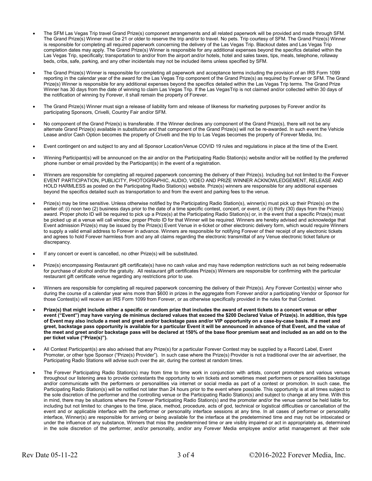- The SFM Las Vegas Trip travel Grand Prize(s) component arrangements and all related paperwork will be provided and made through SFM. The Grand Prize(s) Winner must be 21 or older to reserve the trip and/or to travel. No pets. Trip courtesy of SFM. The Grand Prize(s) Winner is responsible for completing all required paperwork concerning the delivery of the Las Vegas Trip. Blackout dates and Las Vegas Trip completion dates may apply. The Grand Prize(s) Winner is responsible for any additional expenses beyond the specifics detailed within the Las Vegas Trip, specifically; transportation to and/or from the airport and/or hotels, hotel and sales taxes, tips, meals, telephone, rollaway beds, cribs, safe, parking, and any other incidentals may not be included items unless specified by SFM.
- The Grand Prize(s) Winner is responsible for completing all paperwork and acceptance terms including the provision of an IRS Form 1099 reporting in the calendar year of the award for the Las Vegas Trip component of the Grand Prize(s) as required by Forever or SFM. The Grand Prize(s) Winner is responsible for any additional expenses beyond the specifics detailed within the Las Vegas Trip terms. The Grand Prize Winner has 30 days from the date of winning to claim Las Vegas Trip. If the Las VegasTrip is not claimed and/or collected within 30 days of the notification of winning by Forever, it shall remain the property of Forever.
- The Grand Prize(s) Winner must sign a release of liability form and release of likeness for marketing purposes by Forever and/or its participating Sponsors, Crivelli, Country Fair and/or SFM.
- No component of the Grand Prize(s) is transferable. If the Winner declines any component of the Grand Prize(s), there will not be any alternate Grand Prize(s) available in substitution and that component of the Grand Prize(s) will not be re-awarded. In such event the Vehicle Lease and/or Cash Option becomes the property of Crivelli and the trip to Las Vegas becomes the property of Forever Media, Inc.
- Event contingent on and subject to any and all Sponsor Location/Venue COVID 19 rules and regulations in place at the time of the Event.
- Winning Participant(s) will be announced on the air and/or on the Participating Radio Station(s) website and/or will be notified by the preferred phone number or email provided by the Participant(s) in the event of a registration.
- Winners are responsible for completing all required paperwork concerning the delivery of their Prize(s). Including but not limited to the Forever EVENT PARTICIPATION, PUBLICITY, PHOTOGRAPHIC, AUDIO, VIDEO AND PRIZE WINNER ACKNOWLEDGEMENT, RELEASE AND HOLD HARMLESS as posted on the Participating Radio Station(s) website. Prize(s) winners are responsible for any additional expenses beyond the specifics detailed such as transportation to and from the event and parking fees to the venue.
- Prize(s) may be time sensitive. Unless otherwise notified by the Participating Radio Station(s), winner(s) must pick up their Prize(s) on the earlier of: (i) noon two (2) business days prior to the date of a time specific contest, concert, or event, or (ii) thirty (30) days from the Prize(s) award. Proper photo ID will be required to pick up a Prize(s) at the Participating Radio Station(s) or, in the event that a specific Prize(s) must be picked up at a venue will call window, proper Photo ID for that Winner will be required. Winners are hereby advised and acknowledge that Event admission Prize(s) may be issued by the Prize(s) Event Venue in e-ticket or other electronic delivery form, which would require Winners to supply a valid email address to Forever in advance. Winners are responsible for notifying Forever of their receipt of any electronic tickets and agrees to hold Forever harmless from and any all claims regarding the electronic transmittal of any Venue electronic ticket failure or discrepancy.
- If any concert or event is cancelled, no other Prize(s) will be substituted.
- Prize(s) encompassing Restaurant gift certificate(s) have no cash value and may have redemption restrictions such as not being redeemable for purchase of alcohol and/or the gratuity. All restaurant gift certificates Prize(s) Winners are responsible for confirming with the particular restaurant gift certificate venue regarding any restrictions prior to use.
- Winners are responsible for completing all required paperwork concerning the delivery of their Prize(s). Any Forever Contest(s) winner who during the course of a calendar year wins more than \$600 in prizes in the aggregate from Forever and/or a participating Vendor or Sponsor for those Contest(s) will receive an IRS Form 1099 from Forever, or as otherwise specifically provided in the rules for that Contest.
- **Prize(s) that might include either a specific or random prize that includes the award of event tickets to a concert venue or other event ("Event") may have varying de minimus declared values that exceed the \$200 Declared Value of Prize(s). In addition, this type of Event may also include a meet and greet and/or backstage pass and/or VIP opportunity on a case-by-case basis. If a meet and greet, backstage pass opportunity is available for a particular Event it will be announced in advance of that Event, and the value of the meet and greet and/or backstage pass will be declared at 150% of the base floor premium seat and included as an add on to the per ticket value ("Prize(s)").**
- All Contest Participant(s) are also advised that any Prize(s) for a particular Forever Contest may be supplied by a Record Label, Event Promoter, or other type Sponsor ("Prize(s) Provider"). In such case where the Prize(s) Provider is not a traditional over the air advertiser, the Participating Radio Stations will advise such over the air, during the contest at random times.
- The Forever Participating Radio Station(s) may from time to time work in conjunction with artists, concert promoters and various venues throughout our listening area to provide contestants the opportunity to win tickets and sometimes meet performers or personalities backstage and/or communicate with the performers or personalities via internet or social media as part of a contest or promotion. In such case, the Participating Radio Station(s) will be notified not later than 24 hours prior to the event where possible. This opportunity is at all times subject to the sole discretion of the performer and the controlling venue or the Participating Radio Station(s) and subject to change at any time. With this in mind, there may be situations where the Forever Participating Radio Station(s) and the promoter and/or the venue cannot be held liable for, including but not limited to: changes to the time, place, method, procedure, acts of god, technical or logistical difficulties or cancellation of the event and or applicable interface with the performer or personality interface sessions at any time. In all cases of performer or personality interface, Winner(s) are responsible for arriving or being available for the interface at the predetermined time and may not be intoxicated or under the influence of any substance, Winners that miss the predetermined time or are visibly impaired or act in appropriately as, determined in the sole discretion of the performer, and/or personality, and/or any Forever Media employee and/or artist management at their sole